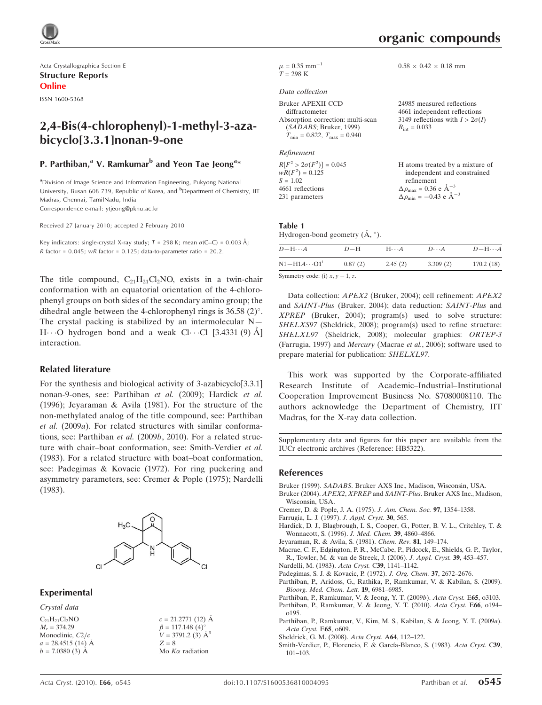

Acta Crystallographica Section E Structure Reports Online

ISSN 1600-5368

# 2,4-Bis(4-chlorophenyl)-1-methyl-3-azabicyclo[3.3.1]nonan-9-one

#### P. Parthiban,<sup>a</sup> V. Ramkumar<sup>b</sup> and Yeon Tae Jeong<sup>a</sup>\*

<sup>a</sup>Division of Image Science and Information Engineering, Pukyong National University, Busan 608 739, Republic of Korea, and <sup>b</sup>Department of Chemistry, IIT Madras, Chennai, TamilNadu, India

Correspondence e-mail: ytjeong@pknu.ac.kr

Received 27 January 2010; accepted 2 February 2010

Key indicators: single-crystal X-ray study;  $T = 298$  K; mean  $\sigma$ (C–C) = 0.003 Å;  $R$  factor = 0.045;  $wR$  factor = 0.125; data-to-parameter ratio = 20.2.

The title compound,  $C_{21}H_{21}Cl_2NO$ , exists in a twin-chair conformation with an equatorial orientation of the 4-chlorophenyl groups on both sides of the secondary amino group; the dihedral angle between the 4-chlorophenyl rings is  $36.58$  (2)°. The crystal packing is stabilized by an intermolecular  $N H \cdots$ O hydrogen bond and a weak Cl $\cdots$ Cl [3.4331 (9) A] interaction.

#### Related literature

For the synthesis and biological activity of 3-azabicyclo[3.3.1] nonan-9-ones, see: Parthiban et al. (2009); Hardick et al. (1996); Jeyaraman & Avila (1981). For the structure of the non-methylated analog of the title compound, see: Parthiban et al. (2009a). For related structures with similar conformations, see: Parthiban et al. (2009b, 2010). For a related structure with chair–boat conformation, see: Smith-Verdier et al. (1983). For a related structure with boat–boat conformation, see: Padegimas & Kovacic (1972). For ring puckering and asymmetry parameters, see: Cremer & Pople (1975); Nardelli (1983).



Experimental

Crystal data

 $c = 21.2771(12)$  Å  $\beta = 117.148 \ (4)$ <sup>o</sup>  $V = 3791.2$  (3)  $A^3$  $Z = 8$ Mo  $K\alpha$  radiation

| organic compounds |
|-------------------|
|                   |

 $0.58 \times 0.42 \times 0.18$  mm

 $\mu$  = 0.35 mm<sup>-1</sup>  $T = 298 \text{ K}$ 

#### Data collection

| 24985 measured reflections             |
|----------------------------------------|
| 4661 independent reflections           |
| 3149 reflections with $I > 2\sigma(I)$ |
| $R_{\text{int}} = 0.033$               |
|                                        |
|                                        |

Refinement

| $R[F^2 > 2\sigma(F^2)] = 0.045$ | H atoms treated by a mixture of                                                                                               |
|---------------------------------|-------------------------------------------------------------------------------------------------------------------------------|
| $wR(F^2) = 0.125$               | independent and constrained                                                                                                   |
| $S = 1.02$                      | refinement                                                                                                                    |
| 4661 reflections                | $\Delta \rho_{\text{max}} = 0.36 \text{ e } \text{\AA}^{-3}$<br>$\Delta \rho_{\text{min}} = -0.43 \text{ e } \text{\AA}^{-3}$ |
| 231 parameters                  |                                                                                                                               |
|                                 |                                                                                                                               |

Table 1 Hydrogen-bond geometry  $(\AA, \degree)$ .

| $D - H \cdots A$                   | $D-H$   | $H\cdots A$ | $D\cdots A$ | $D - H \cdots A$ |  |  |  |
|------------------------------------|---------|-------------|-------------|------------------|--|--|--|
| $N1 - H1A \cdots 01$ <sup>1</sup>  | 0.87(2) | 2.45(2)     | 3.309(2)    | 170.2(18)        |  |  |  |
| Symmetry code: (i) $x, y - 1, z$ . |         |             |             |                  |  |  |  |

Data collection: APEX2 (Bruker, 2004); cell refinement: APEX2 and SAINT-Plus (Bruker, 2004); data reduction: SAINT-Plus and XPREP (Bruker, 2004); program(s) used to solve structure: SHELXS97 (Sheldrick, 2008); program(s) used to refine structure: SHELXL97 (Sheldrick, 2008); molecular graphics: ORTEP-3 (Farrugia, 1997) and Mercury (Macrae et al., 2006); software used to prepare material for publication: SHELXL97.

This work was supported by the Corporate-affiliated Research Institute of Academic–Industrial–Institutional Cooperation Improvement Business No. S7080008110. The authors acknowledge the Department of Chemistry, IIT Madras, for the X-ray data collection.

Supplementary data and figures for this paper are available from the IUCr electronic archives (Reference: HB5322).

#### References

- Bruker (1999). SADABS[. Bruker AXS Inc., Madison, Wisconsin, USA.](http://scripts.iucr.org/cgi-bin/cr.cgi?rm=pdfbb&cnor=hb5322&bbid=BB1)
- Bruker (2004). APEX2, XPREP and SAINT-Plus[. Bruker AXS Inc., Madison,](http://scripts.iucr.org/cgi-bin/cr.cgi?rm=pdfbb&cnor=hb5322&bbid=BB2) [Wisconsin, USA.](http://scripts.iucr.org/cgi-bin/cr.cgi?rm=pdfbb&cnor=hb5322&bbid=BB2)
- [Cremer, D. & Pople, J. A. \(1975\).](http://scripts.iucr.org/cgi-bin/cr.cgi?rm=pdfbb&cnor=hb5322&bbid=BB3) J. Am. Chem. Soc. 97, 1354–1358.
- [Farrugia, L. J. \(1997\).](http://scripts.iucr.org/cgi-bin/cr.cgi?rm=pdfbb&cnor=hb5322&bbid=BB4) J. Appl. Cryst. 30, 565.
- [Hardick, D. J., Blagbrough, I. S., Cooper, G., Potter, B. V. L., Critchley, T. &](http://scripts.iucr.org/cgi-bin/cr.cgi?rm=pdfbb&cnor=hb5322&bbid=BB5) [Wonnacott, S. \(1996\).](http://scripts.iucr.org/cgi-bin/cr.cgi?rm=pdfbb&cnor=hb5322&bbid=BB5) J. Med. Chem. 39, 4860–4866.
- [Jeyaraman, R. & Avila, S. \(1981\).](http://scripts.iucr.org/cgi-bin/cr.cgi?rm=pdfbb&cnor=hb5322&bbid=BB6) Chem. Rev. 81, 149–174.
- [Macrae, C. F., Edgington, P. R., McCabe, P., Pidcock, E., Shields, G. P., Taylor,](http://scripts.iucr.org/cgi-bin/cr.cgi?rm=pdfbb&cnor=hb5322&bbid=BB15) [R., Towler, M. & van de Streek, J. \(2006\).](http://scripts.iucr.org/cgi-bin/cr.cgi?rm=pdfbb&cnor=hb5322&bbid=BB15) J. Appl. Cryst. 39, 453–457.
- [Nardelli, M. \(1983\).](http://scripts.iucr.org/cgi-bin/cr.cgi?rm=pdfbb&cnor=hb5322&bbid=BB7) Acta Cryst. C39, 1141–1142.
- [Padegimas, S. J. & Kovacic, P. \(1972\).](http://scripts.iucr.org/cgi-bin/cr.cgi?rm=pdfbb&cnor=hb5322&bbid=BB8) J. Org. Chem. 37, 2672–2676.
- [Parthiban, P., Aridoss, G., Rathika, P., Ramkumar, V. & Kabilan, S. \(2009\).](http://scripts.iucr.org/cgi-bin/cr.cgi?rm=pdfbb&cnor=hb5322&bbid=BB9) [Bioorg. Med. Chem. Lett.](http://scripts.iucr.org/cgi-bin/cr.cgi?rm=pdfbb&cnor=hb5322&bbid=BB9) 19, 6981–6985.
- [Parthiban, P., Ramkumar, V. & Jeong, Y. T. \(2009](http://scripts.iucr.org/cgi-bin/cr.cgi?rm=pdfbb&cnor=hb5322&bbid=BB10)b). Acta Cryst. E65, o3103. [Parthiban, P., Ramkumar, V. & Jeong, Y. T. \(2010\).](http://scripts.iucr.org/cgi-bin/cr.cgi?rm=pdfbb&cnor=hb5322&bbid=BB11) Acta Cryst. E66, o194– [o195.](http://scripts.iucr.org/cgi-bin/cr.cgi?rm=pdfbb&cnor=hb5322&bbid=BB11)
- [Parthiban, P., Ramkumar, V., Kim, M. S., Kabilan, S. & Jeong, Y. T. \(2009](http://scripts.iucr.org/cgi-bin/cr.cgi?rm=pdfbb&cnor=hb5322&bbid=BB12)a). [Acta Cryst.](http://scripts.iucr.org/cgi-bin/cr.cgi?rm=pdfbb&cnor=hb5322&bbid=BB12) E65, o609.
- [Sheldrick, G. M. \(2008\).](http://scripts.iucr.org/cgi-bin/cr.cgi?rm=pdfbb&cnor=hb5322&bbid=BB13) Acta Cryst. A64, 112–122.
- Smith-Verdier, P., Florencio, F. & García-Blanco, S. (1983). Acta Cryst. C39, [101–103.](http://scripts.iucr.org/cgi-bin/cr.cgi?rm=pdfbb&cnor=hb5322&bbid=BB14)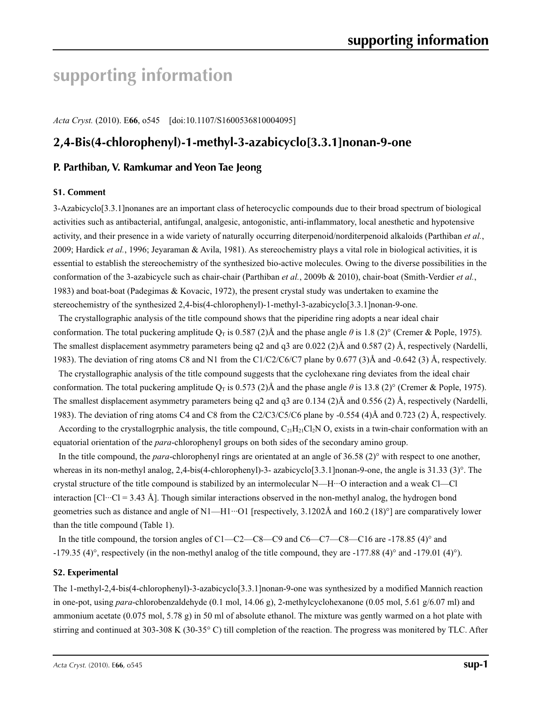# **supporting information**

*Acta Cryst.* (2010). E**66**, o545 [doi:10.1107/S1600536810004095]

# **2,4-Bis(4-chlorophenyl)-1-methyl-3-azabicyclo[3.3.1]nonan-9-one**

### **P. Parthiban, V. Ramkumar and Yeon Tae Jeong**

#### **S1. Comment**

3-Azabicyclo[3.3.1]nonanes are an important class of heterocyclic compounds due to their broad spectrum of biological activities such as antibacterial, antifungal, analgesic, antogonistic, anti-inflammatory, local anesthetic and hypotensive activity, and their presence in a wide variety of naturally occurring diterpenoid/norditerpenoid alkaloids (Parthiban *et al.*, 2009; Hardick *et al.*, 1996; Jeyaraman & Avila, 1981). As stereochemistry plays a vital role in biological activities, it is essential to establish the stereochemistry of the synthesized bio-active molecules. Owing to the diverse possibilities in the conformation of the 3-azabicycle such as chair-chair (Parthiban *et al.*, 2009b & 2010), chair-boat (Smith-Verdier *et al.*, 1983) and boat-boat (Padegimas & Kovacic, 1972), the present crystal study was undertaken to examine the stereochemistry of the synthesized 2,4-bis(4-chlorophenyl)-1-methyl-3-azabicyclo[3.3.1]nonan-9-one.

The crystallographic analysis of the title compound shows that the piperidine ring adopts a near ideal chair conformation. The total puckering amplitude  $Q_T$  is 0.587 (2)Å and the phase angle  $\theta$  is 1.8 (2)° (Cremer & Pople, 1975). The smallest displacement asymmetry parameters being q2 and q3 are 0.022 (2)Å and 0.587 (2) Å, respectively (Nardelli, 1983). The deviation of ring atoms C8 and N1 from the C1/C2/C6/C7 plane by 0.677 (3)Å and -0.642 (3) Å, respectively.

The crystallographic analysis of the title compound suggests that the cyclohexane ring deviates from the ideal chair conformation. The total puckering amplitude  $Q_T$  is 0.573 (2)Å and the phase angle  $\theta$  is 13.8 (2)° (Cremer & Pople, 1975). The smallest displacement asymmetry parameters being q2 and q3 are 0.134 (2)Å and 0.556 (2) Å, respectively (Nardelli, 1983). The deviation of ring atoms C4 and C8 from the C2/C3/C5/C6 plane by -0.554 (4)Å and 0.723 (2) Å, respectively.

According to the crystallogrphic analysis, the title compound,  $C_{21}H_{21}Cl_2N$  O, exists in a twin-chair conformation with an equatorial orientation of the *para*-chlorophenyl groups on both sides of the secondary amino group.

In the title compound, the *para*-chlorophenyl rings are orientated at an angle of 36.58 (2)° with respect to one another, whereas in its non-methyl analog, 2,4-bis(4-chlorophenyl)-3- azabicyclo[3.3.1]nonan-9-one, the angle is 31.33 (3)°. The crystal structure of the title compound is stabilized by an intermolecular N—H···O interaction and a weak Cl—Cl interaction [Cl···Cl = 3.43 Å]. Though similar interactions observed in the non-methyl analog, the hydrogen bond geometries such as distance and angle of  $N1$ —H1…O1 [respectively, 3.1202Å and 160.2 (18)<sup>°</sup>] are comparatively lower than the title compound (Table 1).

In the title compound, the torsion angles of C1—C2—C8—C9 and C6—C7—C8—C16 are -178.85 (4)° and -179.35 (4)°, respectively (in the non-methyl analog of the title compound, they are -177.88 (4)° and -179.01 (4)°).

#### **S2. Experimental**

The 1-methyl-2,4-bis(4-chlorophenyl)-3-azabicyclo[3.3.1]nonan-9-one was synthesized by a modified Mannich reaction in one-pot, using *para*-chlorobenzaldehyde (0.1 mol, 14.06 g), 2-methylcyclohexanone (0.05 mol, 5.61 g/6.07 ml) and ammonium acetate (0.075 mol, 5.78 g) in 50 ml of absolute ethanol. The mixture was gently warmed on a hot plate with stirring and continued at 303-308 K (30-35° C) till completion of the reaction. The progress was monitered by TLC. After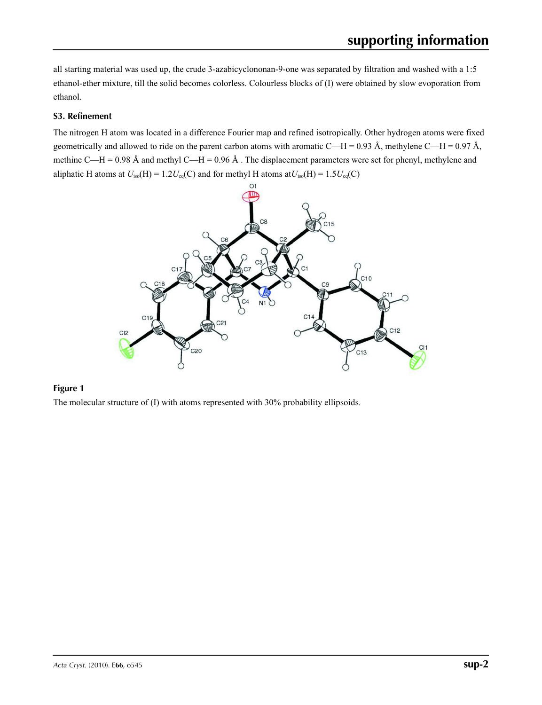all starting material was used up, the crude 3-azabicyclononan-9-one was separated by filtration and washed with a 1:5 ethanol-ether mixture, till the solid becomes colorless. Colourless blocks of (I) were obtained by slow evoporation from ethanol.

#### **S3. Refinement**

The nitrogen H atom was located in a difference Fourier map and refined isotropically. Other hydrogen atoms were fixed geometrically and allowed to ride on the parent carbon atoms with aromatic C—H = 0.93 Å, methylene C—H = 0.97 Å, methine C—H = 0.98 Å and methyl C—H = 0.96 Å . The displacement parameters were set for phenyl, methylene and aliphatic H atoms at  $U_{iso}(H) = 1.2U_{eq}(C)$  and for methyl H atoms at  $U_{iso}(H) = 1.5U_{eq}(C)$ 



#### **Figure 1**

The molecular structure of (I) with atoms represented with 30% probability ellipsoids.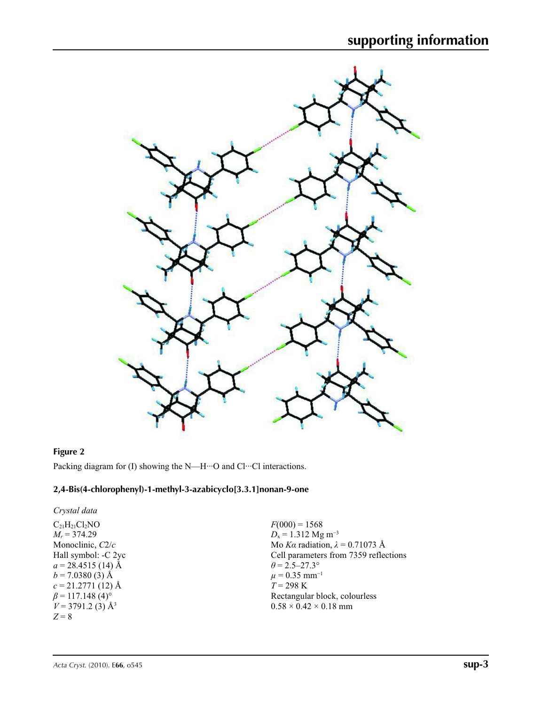

#### **Figure 2**

Packing diagram for (I) showing the N—H···O and Cl···Cl interactions.

#### **2,4-Bis(4-chlorophenyl)-1-methyl-3-azabicyclo[3.3.1]nonan-9-one**

*Crystal data*  $C_{21}H_{21}Cl_2NO$ *Mr* = 374.29 Monoclinic, *C*2/*c* Hall symbol: -C 2yc  $a = 28.4515(14)$  Å  $b = 7.0380(3)$  Å  $c = 21.2771(12)$  Å  $\beta$  = 117.148 (4)<sup>o</sup>  $V = 3791.2$  (3) Å<sup>3</sup> *Z* = 8

 $F(000) = 1568$  $D_x = 1.312$  Mg m<sup>-3</sup> Mo *Kα* radiation, *λ* = 0.71073 Å Cell parameters from 7359 reflections  $\theta = 2.5 - 27.3^{\circ}$  $\mu$  = 0.35 mm<sup>-1</sup>  $T = 298 \text{ K}$ Rectangular block, colourless  $0.58 \times 0.42 \times 0.18$  mm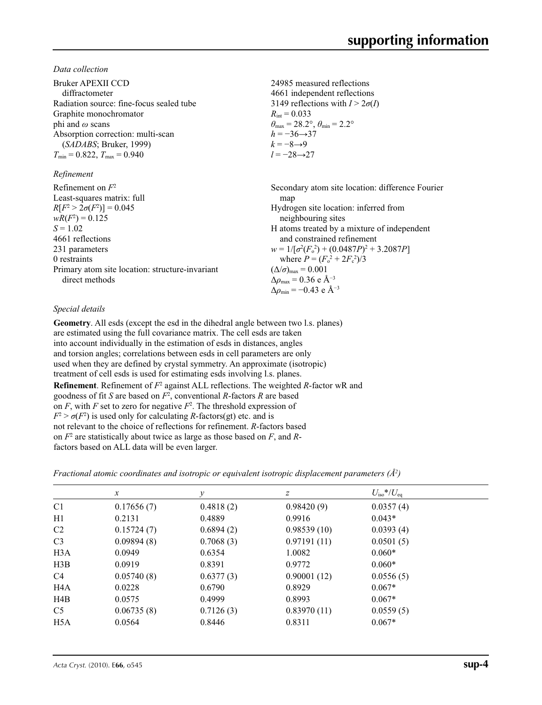*Data collection*

| Bruker APEXII CCD<br>diffractometer             | 24985 measured reflections<br>4661 independent reflections              |
|-------------------------------------------------|-------------------------------------------------------------------------|
| Radiation source: fine-focus sealed tube        | 3149 reflections with $I > 2\sigma(I)$                                  |
| Graphite monochromator                          | $R_{\text{int}} = 0.033$                                                |
| phi and $\omega$ scans                          | $\theta_{\text{max}} = 28.2^{\circ}, \theta_{\text{min}} = 2.2^{\circ}$ |
| Absorption correction: multi-scan               | $h = -36 \rightarrow 37$                                                |
| (SADABS; Bruker, 1999)                          | $k = -8 \rightarrow 9$                                                  |
| $T_{\min}$ = 0.822, $T_{\max}$ = 0.940          | $l = -28 \rightarrow 27$                                                |
| Refinement                                      |                                                                         |
| Refinement on $F^2$                             | Secondary atom site location: difference Fourier                        |
| Least-squares matrix: full                      | map                                                                     |
| $R[F^2 > 2\sigma(F^2)] = 0.045$                 | Hydrogen site location: inferred from                                   |
| $wR(F^2) = 0.125$                               | neighbouring sites                                                      |
| $S = 1.02$                                      | H atoms treated by a mixture of independent                             |
| 4661 reflections                                | and constrained refinement                                              |
| 231 parameters                                  | $w = 1/[\sigma^2(F_0^2) + (0.0487P)^2 + 3.2087P]$                       |
| 0 restraints                                    | where $P = (F_o^2 + 2F_c^2)/3$                                          |
| Primary atom site location: structure-invariant | $(\Delta/\sigma)_{\text{max}} = 0.001$                                  |
| direct methods                                  | $\Delta\rho_{\text{max}}$ = 0.36 e Å <sup>-3</sup>                      |
|                                                 | $\Delta\rho_{\rm min} = -0.43$ e Å <sup>-3</sup>                        |

#### *Special details*

**Geometry**. All esds (except the esd in the dihedral angle between two l.s. planes) are estimated using the full covariance matrix. The cell esds are taken into account individually in the estimation of esds in distances, angles and torsion angles; correlations between esds in cell parameters are only used when they are defined by crystal symmetry. An approximate (isotropic) treatment of cell esds is used for estimating esds involving l.s. planes. **Refinement**. Refinement of  $F^2$  against ALL reflections. The weighted *R*-factor wR and goodness of fit *S* are based on *F*<sup>2</sup> , conventional *R*-factors *R* are based on  $F$ , with  $F$  set to zero for negative  $F^2$ . The threshold expression of  $F^2 > \sigma(F^2)$  is used only for calculating *R*-factors(gt) etc. and is not relevant to the choice of reflections for refinement. *R*-factors based on *F*<sup>2</sup> are statistically about twice as large as those based on *F*, and *R*factors based on ALL data will be even larger.

*Fractional atomic coordinates and isotropic or equivalent isotropic displacement parameters (Å<sup>2</sup>)* 

| $\mathcal{X}$ | v         | $\mathcal{Z}$ | $U_{\rm iso}*/U_{\rm eq}$ |  |
|---------------|-----------|---------------|---------------------------|--|
| 0.17656(7)    | 0.4818(2) | 0.98420(9)    | 0.0357(4)                 |  |
| 0.2131        | 0.4889    | 0.9916        | $0.043*$                  |  |
| 0.15724(7)    | 0.6894(2) | 0.98539(10)   | 0.0393(4)                 |  |
| 0.09894(8)    | 0.7068(3) | 0.97191(11)   | 0.0501(5)                 |  |
| 0.0949        | 0.6354    | 1.0082        | $0.060*$                  |  |
| 0.0919        | 0.8391    | 0.9772        | $0.060*$                  |  |
| 0.05740(8)    | 0.6377(3) | 0.90001(12)   | 0.0556(5)                 |  |
| 0.0228        | 0.6790    | 0.8929        | $0.067*$                  |  |
| 0.0575        | 0.4999    | 0.8993        | $0.067*$                  |  |
| 0.06735(8)    | 0.7126(3) | 0.83970(11)   | 0.0559(5)                 |  |
| 0.0564        | 0.8446    | 0.8311        | $0.067*$                  |  |
|               |           |               |                           |  |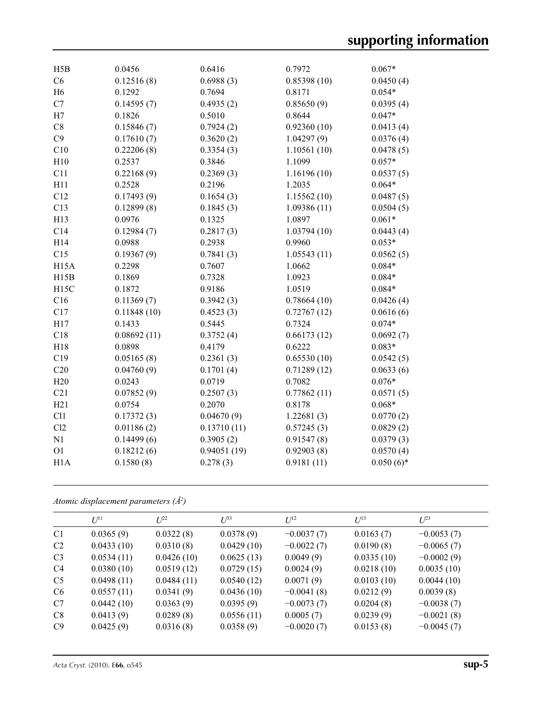| H5B               | 0.0456      | 0.6416      | 0.7972      | $0.067*$     |
|-------------------|-------------|-------------|-------------|--------------|
| C6                | 0.12516(8)  | 0.6988(3)   | 0.85398(10) | 0.0450(4)    |
| H <sub>6</sub>    | 0.1292      | 0.7694      | 0.8171      | $0.054*$     |
| C7                | 0.14595(7)  | 0.4935(2)   | 0.85650(9)  | 0.0395(4)    |
| H7                | 0.1826      | 0.5010      | 0.8644      | $0.047*$     |
| C8                | 0.15846(7)  | 0.7924(2)   | 0.92360(10) | 0.0413(4)    |
| C9                | 0.17610(7)  | 0.3620(2)   | 1.04297(9)  | 0.0376(4)    |
| C10               | 0.22206(8)  | 0.3354(3)   | 1.10561(10) | 0.0478(5)    |
| H10               | 0.2537      | 0.3846      | 1.1099      | $0.057*$     |
| C11               | 0.22168(9)  | 0.2369(3)   | 1.16196(10) | 0.0537(5)    |
| H11               | 0.2528      | 0.2196      | 1.2035      | $0.064*$     |
| C12               | 0.17493(9)  | 0.1654(3)   | 1.15562(10) | 0.0487(5)    |
| C13               | 0.12899(8)  | 0.1845(3)   | 1.09386(11) | 0.0504(5)    |
| H13               | 0.0976      | 0.1325      | 1.0897      | $0.061*$     |
| C14               | 0.12984(7)  | 0.2817(3)   | 1.03794(10) | 0.0443(4)    |
| H14               | 0.0988      | 0.2938      | 0.9960      | $0.053*$     |
| C15               | 0.19367(9)  | 0.7841(3)   | 1.05543(11) | 0.0562(5)    |
| H <sub>15</sub> A | 0.2298      | 0.7607      | 1.0662      | $0.084*$     |
| H15B              | 0.1869      | 0.7328      | 1.0923      | $0.084*$     |
| H <sub>15</sub> C | 0.1872      | 0.9186      | 1.0519      | $0.084*$     |
| C16               | 0.11369(7)  | 0.3942(3)   | 0.78664(10) | 0.0426(4)    |
| C17               | 0.11848(10) | 0.4523(3)   | 0.72767(12) | 0.0616(6)    |
| H17               | 0.1433      | 0.5445      | 0.7324      | $0.074*$     |
| C18               | 0.08692(11) | 0.3752(4)   | 0.66173(12) | 0.0692(7)    |
| H18               | 0.0898      | 0.4179      | 0.6222      | $0.083*$     |
| C19               | 0.05165(8)  | 0.2361(3)   | 0.65530(10) | 0.0542(5)    |
| C20               | 0.04760(9)  | 0.1701(4)   | 0.71289(12) | 0.0633(6)    |
| H20               | 0.0243      | 0.0719      | 0.7082      | $0.076*$     |
| C21               | 0.07852(9)  | 0.2507(3)   | 0.77862(11) | 0.0571(5)    |
| H21               | 0.0754      | 0.2070      | 0.8178      | $0.068*$     |
| C11               | 0.17372(3)  | 0.04670(9)  | 1.22681(3)  | 0.0770(2)    |
| C12               | 0.01186(2)  | 0.13710(11) | 0.57245(3)  | 0.0829(2)    |
| N1                | 0.14499(6)  | 0.3905(2)   | 0.91547(8)  | 0.0379(3)    |
| O <sub>1</sub>    | 0.18212(6)  | 0.94051(19) | 0.92903(8)  | 0.0570(4)    |
| H1A               | 0.1580(8)   | 0.278(3)    | 0.9181(11)  | $0.050(6)$ * |

*Atomic displacement parameters (Å2 )*

|                | $U^{11}$   | $L^{22}$   | $U^{33}$   | $U^{12}$     | $U^{13}$   | $U^{23}$     |
|----------------|------------|------------|------------|--------------|------------|--------------|
| C <sub>1</sub> | 0.0365(9)  | 0.0322(8)  | 0.0378(9)  | $-0.0037(7)$ | 0.0163(7)  | $-0.0053(7)$ |
| C <sub>2</sub> | 0.0433(10) | 0.0310(8)  | 0.0429(10) | $-0.0022(7)$ | 0.0190(8)  | $-0.0065(7)$ |
| C <sub>3</sub> | 0.0534(11) | 0.0426(10) | 0.0625(13) | 0.0049(9)    | 0.0335(10) | $-0.0002(9)$ |
| C <sub>4</sub> | 0.0380(10) | 0.0519(12) | 0.0729(15) | 0.0024(9)    | 0.0218(10) | 0.0035(10)   |
| C <sub>5</sub> | 0.0498(11) | 0.0484(11) | 0.0540(12) | 0.0071(9)    | 0.0103(10) | 0.0044(10)   |
| C <sub>6</sub> | 0.0557(11) | 0.0341(9)  | 0.0436(10) | $-0.0041(8)$ | 0.0212(9)  | 0.0039(8)    |
| C7             | 0.0442(10) | 0.0363(9)  | 0.0395(9)  | $-0.0073(7)$ | 0.0204(8)  | $-0.0038(7)$ |
| C8             | 0.0413(9)  | 0.0289(8)  | 0.0556(11) | 0.0005(7)    | 0.0239(9)  | $-0.0021(8)$ |
| C9             | 0.0425(9)  | 0.0316(8)  | 0.0358(9)  | $-0.0020(7)$ | 0.0153(8)  | $-0.0045(7)$ |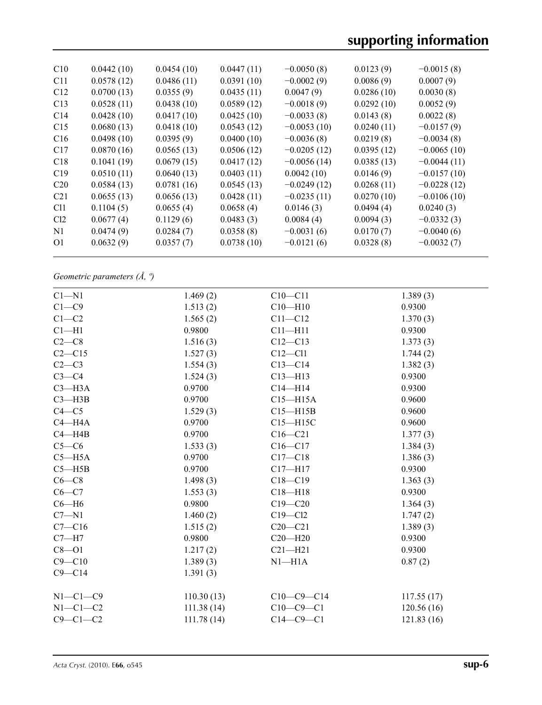| C10             | 0.0442(10) | 0.0454(10) | 0.0447(11) | $-0.0050(8)$  | 0.0123(9)  | $-0.0015(8)$  |
|-----------------|------------|------------|------------|---------------|------------|---------------|
| C11             | 0.0578(12) | 0.0486(11) | 0.0391(10) | $-0.0002(9)$  | 0.0086(9)  | 0.0007(9)     |
| C12             | 0.0700(13) | 0.0355(9)  | 0.0435(11) | 0.0047(9)     | 0.0286(10) | 0.0030(8)     |
| C13             | 0.0528(11) | 0.0438(10) | 0.0589(12) | $-0.0018(9)$  | 0.0292(10) | 0.0052(9)     |
| C <sub>14</sub> | 0.0428(10) | 0.0417(10) | 0.0425(10) | $-0.0033(8)$  | 0.0143(8)  | 0.0022(8)     |
| C15             | 0.0680(13) | 0.0418(10) | 0.0543(12) | $-0.0053(10)$ | 0.0240(11) | $-0.0157(9)$  |
| C16             | 0.0498(10) | 0.0395(9)  | 0.0400(10) | $-0.0036(8)$  | 0.0219(8)  | $-0.0034(8)$  |
| C17             | 0.0870(16) | 0.0565(13) | 0.0506(12) | $-0.0205(12)$ | 0.0395(12) | $-0.0065(10)$ |
| C18             | 0.1041(19) | 0.0679(15) | 0.0417(12) | $-0.0056(14)$ | 0.0385(13) | $-0.0044(11)$ |
| C19             | 0.0510(11) | 0.0640(13) | 0.0403(11) | 0.0042(10)    | 0.0146(9)  | $-0.0157(10)$ |
| C <sub>20</sub> | 0.0584(13) | 0.0781(16) | 0.0545(13) | $-0.0249(12)$ | 0.0268(11) | $-0.0228(12)$ |
| C <sub>21</sub> | 0.0655(13) | 0.0656(13) | 0.0428(11) | $-0.0235(11)$ | 0.0270(10) | $-0.0106(10)$ |
| C <sub>11</sub> | 0.1104(5)  | 0.0655(4)  | 0.0658(4)  | 0.0146(3)     | 0.0494(4)  | 0.0240(3)     |
| Cl <sub>2</sub> | 0.0677(4)  | 0.1129(6)  | 0.0483(3)  | 0.0084(4)     | 0.0094(3)  | $-0.0332(3)$  |
| N1              | 0.0474(9)  | 0.0284(7)  | 0.0358(8)  | $-0.0031(6)$  | 0.0170(7)  | $-0.0040(6)$  |
| O <sub>1</sub>  | 0.0632(9)  | 0.0357(7)  | 0.0738(10) | $-0.0121(6)$  | 0.0328(8)  | $-0.0032(7)$  |
|                 |            |            |            |               |            |               |

*Geometric parameters (Å, º)*

| $C1 - N1$      | 1.469(2)    | $C10 - C11$  | 1.389(3)    |
|----------------|-------------|--------------|-------------|
| $C1 - C9$      | 1.513(2)    | $C10 - H10$  | 0.9300      |
| $C1-C2$        | 1.565(2)    | $C11 - C12$  | 1.370(3)    |
| $Cl - H1$      | 0.9800      | $C11 - H11$  | 0.9300      |
| $C2-C8$        | 1.516(3)    | $C12 - C13$  | 1.373(3)    |
| $C2-C15$       | 1.527(3)    | $C12 - C11$  | 1.744(2)    |
| $C2-C3$        | 1.554(3)    | $C13 - C14$  | 1.382(3)    |
| $C3-C4$        | 1.524(3)    | $C13 - H13$  | 0.9300      |
| $C3 - H3A$     | 0.9700      | $C14 - H14$  | 0.9300      |
| $C3 - H3B$     | 0.9700      | $C15 - H15A$ | 0.9600      |
| $C4 - C5$      | 1.529(3)    | $C15 - H15B$ | 0.9600      |
| $C4 - H4A$     | 0.9700      | $C15 - H15C$ | 0.9600      |
| $C4 - H4B$     | 0.9700      | $C16 - C21$  | 1.377(3)    |
| $C5-C6$        | 1.533(3)    | $C16 - C17$  | 1.384(3)    |
| $C5 - H5A$     | 0.9700      | $C17 - C18$  | 1.386(3)    |
| $C5 - H5B$     | 0.9700      | $C17 - H17$  | 0.9300      |
| $C6-C8$        | 1.498(3)    | $C18 - C19$  | 1.363(3)    |
| $C6-C7$        | 1.553(3)    | $C18 - H18$  | 0.9300      |
| $C6 - H6$      | 0.9800      | $C19 - C20$  | 1.364(3)    |
| $C7 - N1$      | 1.460(2)    | $C19 - C12$  | 1.747(2)    |
| $C7 - C16$     | 1.515(2)    | $C20-C21$    | 1.389(3)    |
| $C7 - H7$      | 0.9800      | $C20 - H20$  | 0.9300      |
| $C8 - O1$      | 1.217(2)    | $C21 - H21$  | 0.9300      |
| $C9 - C10$     | 1.389(3)    | $N1 - H1A$   | 0.87(2)     |
| $C9 - C14$     | 1.391(3)    |              |             |
| $N1-C1-C9$     | 110.30(13)  | $C10-C9-C14$ | 117.55(17)  |
| $N1-C1-C2$     | 111.38(14)  | $C10-C9-C1$  | 120.56 (16) |
| $C9 - C1 - C2$ | 111.78 (14) | $C14-C9-C1$  | 121.83(16)  |
|                |             |              |             |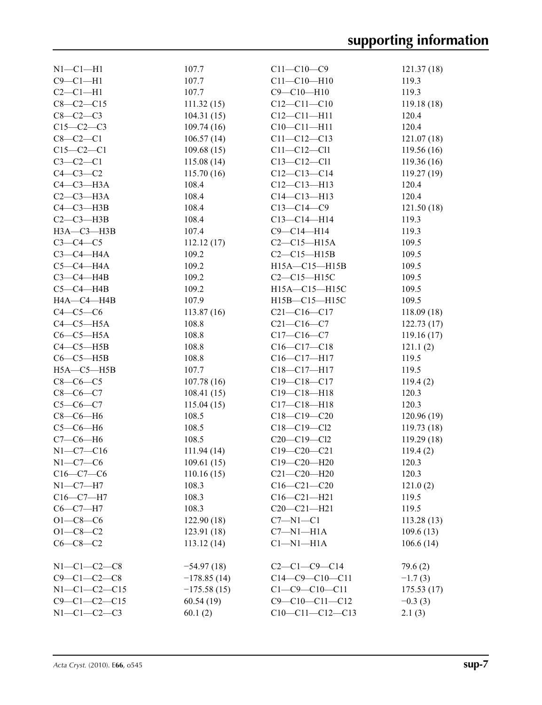| $N1-C1-H1$           | 107.7         | $C11 - C10 - C9$       | 121.37(18)  |
|----------------------|---------------|------------------------|-------------|
| $C9 - C1 - H1$       | 107.7         | $C11 - C10 - H10$      | 119.3       |
| $C2-C1-H1$           | 107.7         | $C9 - C10 - H10$       | 119.3       |
| $C8 - C2 - C15$      | 111.32(15)    | $C12 - C11 - C10$      | 119.18(18)  |
| $C8-C2-C3$           | 104.31(15)    | $C12 - C11 - H11$      | 120.4       |
| $C15-C2-C3$          | 109.74(16)    | $C10-C11-H11$          | 120.4       |
| $C8-C2-C1$           | 106.57(14)    | $C11 - C12 - C13$      | 121.07(18)  |
| $C15-C2-C1$          | 109.68(15)    | $C11 - C12 - C11$      | 119.56(16)  |
| $C3-C2-C1$           | 115.08(14)    | $C13 - C12 - C11$      | 119.36(16)  |
| $C4-C3-C2$           | 115.70(16)    | $C12-C13-C14$          | 119.27(19)  |
| $C4-C3-H3A$          | 108.4         | $C12 - C13 - H13$      | 120.4       |
| $C2-C3-H3A$          | 108.4         | $C14 - C13 - H13$      | 120.4       |
| $C4 - C3 - H3B$      | 108.4         | $C13-C14-C9$           | 121.50(18)  |
| $C2-C3-H3B$          | 108.4         | $C13-C14-H14$          | 119.3       |
| НЗА-СЗ-НЗВ           | 107.4         | $C9 - C14 - H14$       | 119.3       |
| $C3-C4-C5$           | 112.12(17)    | $C2-C15-H15A$          | 109.5       |
| $C3-C4-H4A$          | 109.2         | $C2-C15-H15B$          | 109.5       |
| $C5-C4-H4A$          | 109.2         | H15A-C15-H15B          | 109.5       |
| $C3-C4-H4B$          | 109.2         | $C2-C15-H15C$          | 109.5       |
| $C5-C4-HAB$          | 109.2         | H15A-C15-H15C          | 109.5       |
| HA—C4—H4B            | 107.9         | H15B-C15-H15C          | 109.5       |
| $C4-C5-C6$           | 113.87(16)    | $C21 - C16 - C17$      | 118.09(18)  |
| $C4-C5-H5A$          | 108.8         | $C21 - C16 - C7$       | 122.73(17)  |
| $C6-C5-H5A$          | 108.8         | $C17 - C16 - C7$       | 119.16(17)  |
| $C4-C5-H5B$          | 108.8         | $C16-C17-C18$          | 121.1(2)    |
| $C6-C5-H5B$          | 108.8         | $C16 - C17 - H17$      | 119.5       |
| $H5A - C5 - H5B$     | 107.7         | C18-C17-H17            | 119.5       |
| $C8-C6-C5$           | 107.78(16)    | $C19 - C18 - C17$      | 119.4(2)    |
| $C8-C6-C7$           | 108.41(15)    | $C19 - C18 - H18$      | 120.3       |
| $C5-C6-C7$           |               | $C17 - C18 - H18$      | 120.3       |
|                      | 115.04(15)    |                        |             |
| $C8-C6-H6$           | 108.5         | $C18 - C19 - C20$      | 120.96 (19) |
| $C5-C6-H6$           | 108.5         | $C18 - C19 - C12$      | 119.73 (18) |
| $C7-C6-H6$           | 108.5         | $C20 - C19 - C12$      | 119.29(18)  |
| $N1 - C7 - C16$      | 111.94 (14)   | $C19 - C20 - C21$      | 119.4(2)    |
| $N1-C7-C6$           | 109.61(15)    | C19-C20-H20            | 120.3       |
| $C16-C7-C6$          | 110.16(15)    | $C21 - C20 - H20$      | 120.3       |
| $N1-C7-H7$           | 108.3         | $C16 - C21 - C20$      | 121.0(2)    |
| $C16-C7-H7$          | 108.3         | $C16 - C21 - H21$      | 119.5       |
| $C6-C7-H7$           | 108.3         | $C20 - C21 - H21$      | 119.5       |
| $O1 - C8 - C6$       | 122.90(18)    | $C7 - N1 - C1$         | 113.28(13)  |
| $O1 - C8 - C2$       | 123.91(18)    | $C7 - N1 - H1A$        | 109.6(13)   |
| $C6-C8-C2$           | 113.12(14)    | $Cl-M1-H1A$            | 106.6(14)   |
| $N1 - C1 - C2 - C8$  | $-54.97(18)$  | $C2-C1-C9-C14$         | 79.6(2)     |
| $C9 - C1 - C2 - C8$  | $-178.85(14)$ | $C14-C9-C10-C11$       | $-1.7(3)$   |
| $N1 - C1 - C2 - C15$ | $-175.58(15)$ | $C1 - C9 - C10 - C11$  | 175.53(17)  |
| $C9 - C1 - C2 - C15$ | 60.54(19)     | $C9 - C10 - C11 - C12$ | $-0.3(3)$   |
| $N1 - C1 - C2 - C3$  | 60.1(2)       | $C10-C11-C12-C13$      | 2.1(3)      |